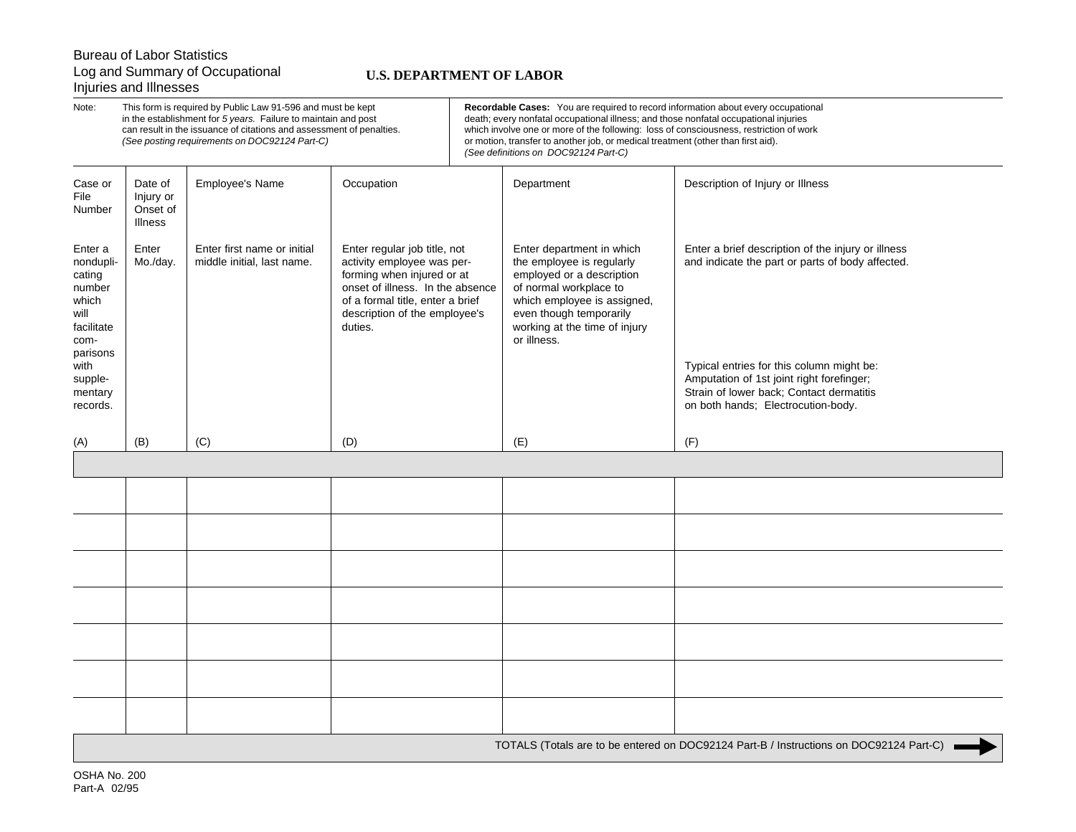# Bureau of Labor Statistics Log and Summary of Occupational Injuries and Illnesses

## **U.S. DEPARTMENT OF LABOR**

Note: This form is required by Public Law 91-596 and must be kept **Recordable Cases:** You are required to record information about every occupational<br>in the establishment for 5 years. Failure to maintain and post death; ev death; every nonfatal occupational illness; and those nonfatal occupational injuries can result in the issuance of citations and assessment of penalties.<br>
(See posting requirements on DOC92124 Part-C)<br>
or motion, transfer to another job, or medical treatment (other than first aid). or motion, transfer to another job, or medical treatment (other than first aid). (See definitions on DOC92124 Part-C)

| Case or<br>File<br>Number                                                                   | Date of<br>Injury or<br>Onset of<br><b>Illness</b> | Employee's Name                                           | Occupation                                                                                                                                                                                                   | Department                                                                                                                                                                                                              | Description of Injury or Illness                                                                                                                                         |  |  |  |  |  |  |
|---------------------------------------------------------------------------------------------|----------------------------------------------------|-----------------------------------------------------------|--------------------------------------------------------------------------------------------------------------------------------------------------------------------------------------------------------------|-------------------------------------------------------------------------------------------------------------------------------------------------------------------------------------------------------------------------|--------------------------------------------------------------------------------------------------------------------------------------------------------------------------|--|--|--|--|--|--|
| Enter a<br>nondupli-<br>cating<br>number<br>which<br>will<br>facilitate<br>com-<br>parisons | Enter<br>Mo./day.                                  | Enter first name or initial<br>middle initial, last name. | Enter regular job title, not<br>activity employee was per-<br>forming when injured or at<br>onset of illness. In the absence<br>of a formal title, enter a brief<br>description of the employee's<br>duties. | Enter department in which<br>the employee is regularly<br>employed or a description<br>of normal workplace to<br>which employee is assigned,<br>even though temporarily<br>working at the time of injury<br>or illness. | Enter a brief description of the injury or illness<br>and indicate the part or parts of body affected.                                                                   |  |  |  |  |  |  |
| with<br>supple-<br>mentary<br>records.                                                      |                                                    |                                                           |                                                                                                                                                                                                              |                                                                                                                                                                                                                         | Typical entries for this column might be:<br>Amputation of 1st joint right forefinger;<br>Strain of lower back; Contact dermatitis<br>on both hands; Electrocution-body. |  |  |  |  |  |  |
| (A)                                                                                         | (B)                                                | (C)                                                       | (D)                                                                                                                                                                                                          | (E)                                                                                                                                                                                                                     | (F)                                                                                                                                                                      |  |  |  |  |  |  |
|                                                                                             |                                                    |                                                           |                                                                                                                                                                                                              |                                                                                                                                                                                                                         |                                                                                                                                                                          |  |  |  |  |  |  |
|                                                                                             |                                                    |                                                           |                                                                                                                                                                                                              |                                                                                                                                                                                                                         |                                                                                                                                                                          |  |  |  |  |  |  |
|                                                                                             |                                                    |                                                           |                                                                                                                                                                                                              |                                                                                                                                                                                                                         |                                                                                                                                                                          |  |  |  |  |  |  |
|                                                                                             |                                                    |                                                           |                                                                                                                                                                                                              |                                                                                                                                                                                                                         |                                                                                                                                                                          |  |  |  |  |  |  |
|                                                                                             |                                                    |                                                           |                                                                                                                                                                                                              |                                                                                                                                                                                                                         |                                                                                                                                                                          |  |  |  |  |  |  |
|                                                                                             |                                                    |                                                           |                                                                                                                                                                                                              |                                                                                                                                                                                                                         |                                                                                                                                                                          |  |  |  |  |  |  |
|                                                                                             |                                                    |                                                           |                                                                                                                                                                                                              |                                                                                                                                                                                                                         |                                                                                                                                                                          |  |  |  |  |  |  |
|                                                                                             |                                                    |                                                           |                                                                                                                                                                                                              |                                                                                                                                                                                                                         |                                                                                                                                                                          |  |  |  |  |  |  |
| TOTALS (Totals are to be entered on DOC92124 Part-B / Instructions on DOC92124 Part-C)      |                                                    |                                                           |                                                                                                                                                                                                              |                                                                                                                                                                                                                         |                                                                                                                                                                          |  |  |  |  |  |  |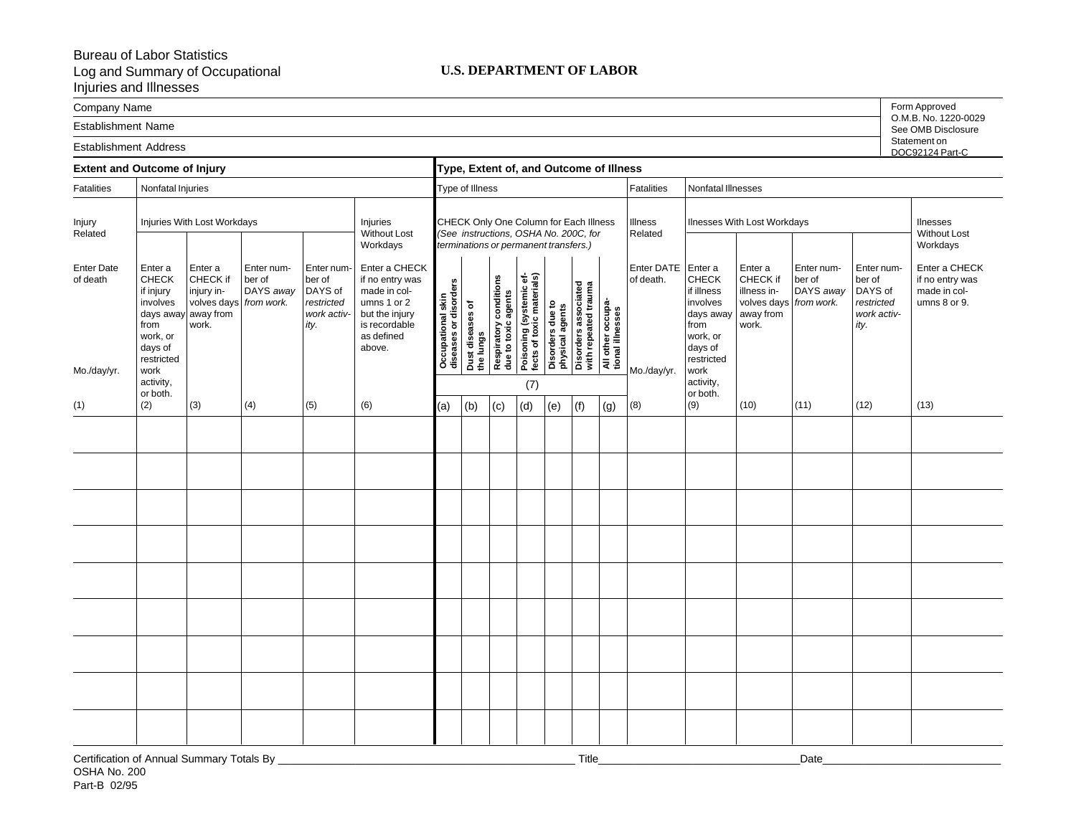# Bureau of Labor Statistics Log and Summary of Occupational Injuries and Illnesses

## **U.S. DEPARTMENT OF LABOR**

| Company Name              | Form Approved                              |
|---------------------------|--------------------------------------------|
| <b>Establishment Name</b> | O.M.B. No. 1220-0029<br>See OMB Disclosure |
| _                         | Statement on                               |

DOC92124 Part-C

Establishment Address

| <b>Extent and Outcome of Injury</b>          |                                                                                                       |                                                                                             |                                   |                                                                      |                                                                                                                            | Type, Extent of, and Outcome of Illness                                                                                  |                               |                                               |                                                      |                                                                                     |     |                                       |                                                  |                                                                                                          |                                                                                    |                                   |                                                                      |                                                                  |
|----------------------------------------------|-------------------------------------------------------------------------------------------------------|---------------------------------------------------------------------------------------------|-----------------------------------|----------------------------------------------------------------------|----------------------------------------------------------------------------------------------------------------------------|--------------------------------------------------------------------------------------------------------------------------|-------------------------------|-----------------------------------------------|------------------------------------------------------|-------------------------------------------------------------------------------------|-----|---------------------------------------|--------------------------------------------------|----------------------------------------------------------------------------------------------------------|------------------------------------------------------------------------------------|-----------------------------------|----------------------------------------------------------------------|------------------------------------------------------------------|
| <b>Fatalities</b>                            | Nonfatal Injuries                                                                                     |                                                                                             |                                   |                                                                      |                                                                                                                            |                                                                                                                          |                               | Type of Illness                               |                                                      |                                                                                     |     |                                       |                                                  | Nonfatal Illnesses                                                                                       |                                                                                    |                                   |                                                                      |                                                                  |
| Injury<br>Related                            | Injuries With Lost Workdays<br>Injuries<br>Without Lost<br>Workdays                                   |                                                                                             |                                   |                                                                      |                                                                                                                            | CHECK Only One Column for Each Illness<br>(See instructions, OSHA No. 200C, for<br>terminations or permanent transfers.) |                               |                                               |                                                      |                                                                                     |     |                                       | Illness<br>Related                               | Ilnesses With Lost Workdays                                                                              |                                                                                    |                                   | <b>Ilnesses</b><br><b>Without Lost</b><br>Workdays                   |                                                                  |
| <b>Enter Date</b><br>of death<br>Mo./day/yr. | Enter a<br><b>CHECK</b><br>if injury<br>involves<br>from<br>work, or<br>days of<br>restricted<br>work | Enter a<br>CHECK if<br>injury in-<br>volves days from work.<br>days away away from<br>work. | Enter num-<br>ber of<br>DAYS away | Enter num-<br>ber of<br>DAYS of<br>restricted<br>work activ-<br>ity. | Enter a CHECK<br>if no entry was<br>made in col-<br>umns 1 or 2<br>but the injury<br>is recordable<br>as defined<br>above. | Occupational skin<br>diseases or disorders                                                                               | Dust diseases of<br>the lungs | Respiratory conditions<br>due to toxic agents | Poisoning (systemic ef-<br>fects of toxic materials) | Disorders due to<br>physical agents<br>Disorders associated<br>with repeated trauma |     | All other occupa-<br>tional illnesses | Enter DATE   Enter a<br>of death.<br>Mo./day/yr. | <b>CHECK</b><br>if illness<br>involves<br>days away<br>from<br>work, or<br>days of<br>restricted<br>work | Enter a<br>CHECK if<br>illness in-<br>volves days from work.<br>away from<br>work. | Enter num-<br>ber of<br>DAYS away | Enter num-<br>ber of<br>DAYS of<br>restricted<br>work activ-<br>ity. | Enter a CHECK<br>if no entry was<br>made in col-<br>umns 8 or 9. |
|                                              | activity,<br>or both.                                                                                 |                                                                                             |                                   |                                                                      |                                                                                                                            | (7)                                                                                                                      |                               |                                               |                                                      |                                                                                     |     |                                       |                                                  | activity,<br>or both.                                                                                    |                                                                                    |                                   |                                                                      |                                                                  |
| (1)                                          | (2)                                                                                                   | (3)                                                                                         | (4)                               | (5)                                                                  | (6)                                                                                                                        | (a)                                                                                                                      | (b)                           | (c)                                           | (d)                                                  | (e)                                                                                 | (f) | (g)                                   | (8)                                              | (9)                                                                                                      | (10)                                                                               | (11)                              | (12)                                                                 | (13)                                                             |
|                                              |                                                                                                       |                                                                                             |                                   |                                                                      |                                                                                                                            |                                                                                                                          |                               |                                               |                                                      |                                                                                     |     |                                       |                                                  |                                                                                                          |                                                                                    |                                   |                                                                      |                                                                  |
|                                              |                                                                                                       |                                                                                             |                                   |                                                                      |                                                                                                                            |                                                                                                                          |                               |                                               |                                                      |                                                                                     |     |                                       |                                                  |                                                                                                          |                                                                                    |                                   |                                                                      |                                                                  |
|                                              |                                                                                                       |                                                                                             |                                   |                                                                      |                                                                                                                            |                                                                                                                          |                               |                                               |                                                      |                                                                                     |     |                                       |                                                  |                                                                                                          |                                                                                    |                                   |                                                                      |                                                                  |
|                                              |                                                                                                       |                                                                                             |                                   |                                                                      |                                                                                                                            |                                                                                                                          |                               |                                               |                                                      |                                                                                     |     |                                       |                                                  |                                                                                                          |                                                                                    |                                   |                                                                      |                                                                  |
|                                              |                                                                                                       |                                                                                             |                                   |                                                                      |                                                                                                                            |                                                                                                                          |                               |                                               |                                                      |                                                                                     |     |                                       |                                                  |                                                                                                          |                                                                                    |                                   |                                                                      |                                                                  |
|                                              |                                                                                                       |                                                                                             |                                   |                                                                      |                                                                                                                            |                                                                                                                          |                               |                                               |                                                      |                                                                                     |     |                                       |                                                  |                                                                                                          |                                                                                    |                                   |                                                                      |                                                                  |
|                                              |                                                                                                       |                                                                                             |                                   |                                                                      |                                                                                                                            |                                                                                                                          |                               |                                               |                                                      |                                                                                     |     |                                       |                                                  |                                                                                                          |                                                                                    |                                   |                                                                      |                                                                  |
|                                              |                                                                                                       |                                                                                             |                                   |                                                                      |                                                                                                                            |                                                                                                                          |                               |                                               |                                                      |                                                                                     |     |                                       |                                                  |                                                                                                          |                                                                                    |                                   |                                                                      |                                                                  |
|                                              |                                                                                                       |                                                                                             |                                   |                                                                      |                                                                                                                            |                                                                                                                          |                               |                                               |                                                      |                                                                                     |     |                                       |                                                  |                                                                                                          |                                                                                    |                                   |                                                                      |                                                                  |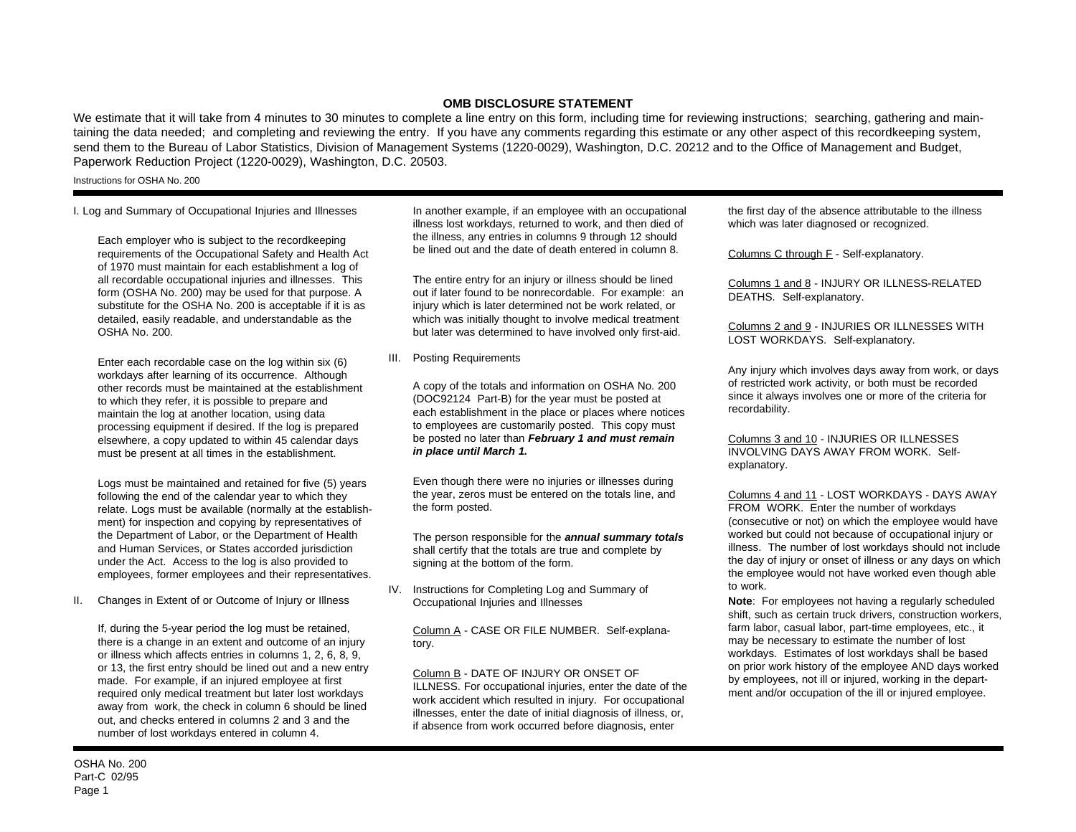#### **OMB DISCLOSURE STATEMENT**

We estimate that it will take from 4 minutes to 30 minutes to complete a line entry on this form, including time for reviewing instructions; searching, gathering and maintaining the data needed; and completing and reviewing the entry. If you have any comments regarding this estimate or any other aspect of this recordkeeping system, send them to the Bureau of Labor Statistics, Division of Management Systems (1220-0029), Washington, D.C. 20212 and to the Office of Management and Budget, Paperwork Reduction Project (1220-0029), Washington, D.C. 20503.

Instructions for OSHA No. 200

I. Log and Summary of Occupational Injuries and Illnesses

Each employer who is subject to the recordkeeping requirements of the Occupational Safety and Health Act of 1970 must maintain for each establishment a log of all recordable occupational injuries and illnesses. This form (OSHA No. 200) may be used for that purpose. A substitute for the OSHA No. 200 is acceptable if it is as detailed, easily readable, and understandable as the OSHA No. 200.

Enter each recordable case on the log within six (6) workdays after learning of its occurrence. Although other records must be maintained at the establishment to which they refer, it is possible to prepare and maintain the log at another location, using data processing equipment if desired. If the log is prepared elsewhere, a copy updated to within 45 calendar days must be present at all times in the establishment.

Logs must be maintained and retained for five (5) years following the end of the calendar year to which they relate. Logs must be available (normally at the establishment) for inspection and copying by representatives of the Department of Labor, or the Department of Health and Human Services, or States accorded jurisdiction under the Act. Access to the log is also provided to employees, former employees and their representatives.

II. Changes in Extent of or Outcome of Injury or Illness

If, during the 5-year period the log must be retained, there is a change in an extent and outcome of an injury or illness which affects entries in columns 1, 2, 6, 8, 9, or 13, the first entry should be lined out and a new entry made. For example, if an injured employee at first required only medical treatment but later lost workdays away from work, the check in column 6 should be lined out, and checks entered in columns 2 and 3 and the number of lost workdays entered in column 4.

In another example, if an employee with an occupational illness lost workdays, returned to work, and then died of the illness, any entries in columns 9 through 12 should be lined out and the date of death entered in column 8.

The entire entry for an injury or illness should be lined out if later found to be nonrecordable. For example: an injury which is later determined not be work related, or which was initially thought to involve medical treatment but later was determined to have involved only first-aid.

III. Posting Requirements

A copy of the totals and information on OSHA No. 200 (DOC92124 Part-B) for the year must be posted at each establishment in the place or places where notices to employees are customarily posted. This copy must be posted no later than **February 1 and must remain in place until March 1.**

Even though there were no injuries or illnesses during the year, zeros must be entered on the totals line, and the form posted.

The person responsible for the **annual summary totals** shall certify that the totals are true and complete by signing at the bottom of the form.

IV. Instructions for Completing Log and Summary of Occupational Injuries and Illnesses

Column A - CASE OR FILE NUMBER. Self-explanatory.

Column B - DATE OF INJURY OR ONSET OF ILLNESS. For occupational injuries, enter the date of the work accident which resulted in injury. For occupational illnesses, enter the date of initial diagnosis of illness, or, if absence from work occurred before diagnosis, enter

the first day of the absence attributable to the illness which was later diagnosed or recognized.

Columns C through F - Self-explanatory.

Columns 1 and 8 - INJURY OR ILLNESS-RELATED DEATHS. Self-explanatory.

Columns 2 and 9 - INJURIES OR ILLNESSES WITH LOST WORKDAYS. Self-explanatory.

Any injury which involves days away from work, or days of restricted work activity, or both must be recorded since it always involves one or more of the criteria for recordability.

Columns 3 and 10 - INJURIES OR ILLNESSES INVOLVING DAYS AWAY FROM WORK. Selfexplanatory.

Columns 4 and 11 - LOST WORKDAYS - DAYS AWAY FROM WORK. Enter the number of workdays (consecutive or not) on which the employee would have worked but could not because of occupational injury or illness. The number of lost workdays should not include the day of injury or onset of illness or any days on which the employee would not have worked even though able to work.

**Note**: For employees not having a regularly scheduled shift, such as certain truck drivers, construction workers, farm labor, casual labor, part-time employees, etc., it may be necessary to estimate the number of lost workdays. Estimates of lost workdays shall be based on prior work history of the employee AND days worked by employees, not ill or injured, working in the department and/or occupation of the ill or injured employee.